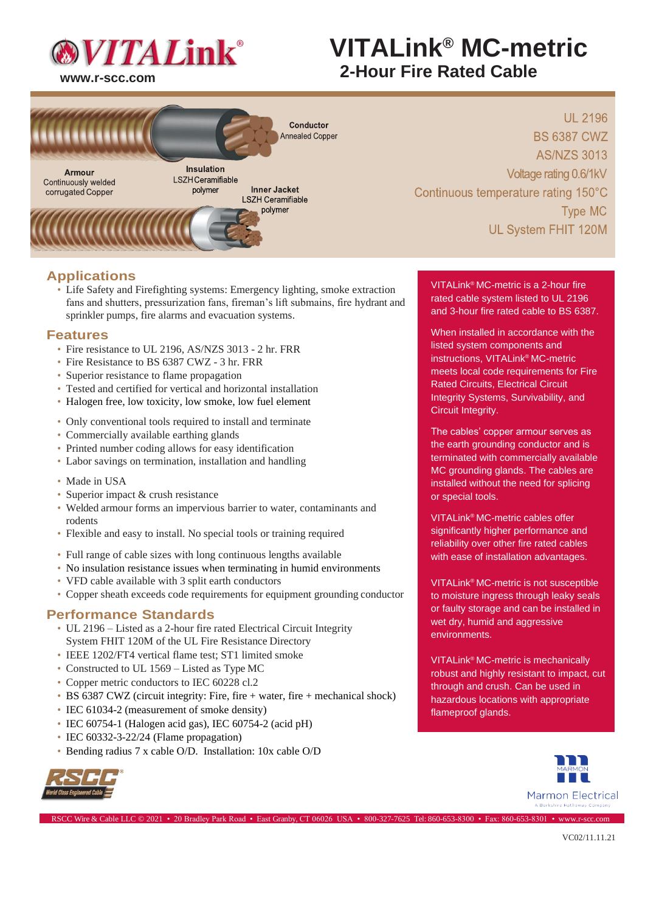

# **VITALink® MC-metric 2-Hour Fire Rated Cable (MDC-M)**<br>2-Hour Fire Rated Cable



**UL 2196 BS 6387 CWZ AS/NZS 3013** Voltage rating 0.6/1kV Continuous temperature rating 150°C **Type MC** UL System FHIT 120M

### **Applications**

• Life Safety and Firefighting systems: Emergency lighting, smoke extraction fans and shutters, pressurization fans, fireman's lift submains, fire hydrant and sprinkler pumps, fire alarms and evacuation systems.

### **Features**

- Fire resistance to UL 2196, AS/NZS 3013 2 hr. FRR
- Fire Resistance to BS 6387 CWZ 3 hr. FRR
- Superior resistance to flame propagation
- Tested and certified for vertical and horizontal installation
- Halogen free, low toxicity, low smoke, low fuel element
- Only conventional tools required to install and terminate
- Commercially available earthing glands
- Printed number coding allows for easy identification
- Labor savings on termination, installation and handling
- Made in USA
- Superior impact & crush resistance
- Welded armour forms an impervious barrier to water, contaminants and rodents
- Flexible and easy to install. No special tools or training required
- Full range of cable sizes with long continuous lengths available
- No insulation resistance issues when terminating in humid environments
- VFD cable available with 3 split earth conductors
- Copper sheath exceeds code requirements for equipment grounding conductor

### **Performance Standards**

- UL 2196 Listed as a 2-hour fire rated Electrical Circuit Integrity System FHIT 120M of the UL Fire Resistance Directory
- IEEE 1202/FT4 vertical flame test; ST1 limited smoke
- Constructed to UL 1569 Listed as Type MC
- Copper metric conductors to IEC 60228 cl.2
- BS 6387 CWZ (circuit integrity: Fire, fire + water, fire + mechanical shock)

RSCC Wire & Cable LLC © 2021 • 20 Bradley Park Road • East Granby, CT 06026 USA • 800-327-7625 Tel: 860-653-8300 • Fax: 860-653-8301 • [www.r-scc.com](http://www.r-scc.com/)

- IEC 61034-2 (measurement of smoke density)
- IEC 60754-1 (Halogen acid gas), IEC 60754-2 (acid pH)
- IEC 60332-3-22/24 (Flame propagation)
- Bending radius 7 x cable O/D. Installation: 10x cable O/D



VITALink® MC-metric is a 2-hour fire rated cable system listed to UL 2196 and 3-hour fire rated cable to BS 6387.

When installed in accordance with the listed system components and instructions, VITALink® MC-metric meets local code requirements for Fire Rated Circuits, Electrical Circuit Integrity Systems, Survivability, and Circuit Integrity.

The cables' copper armour serves as the earth grounding conductor and is terminated with commercially available MC grounding glands. The cables are installed without the need for splicing or special tools.

VITALink® MC-metric cables offer significantly higher performance and reliability over other fire rated cables with ease of installation advantages.

VITALink® MC-metric is not susceptible to moisture ingress through leaky seals or faulty storage and can be installed in wet dry, humid and aggressive environments.

VITALink® MC-metric is mechanically robust and highly resistant to impact, cut through and crush. Can be used in hazardous locations with appropriate flameproof glands.

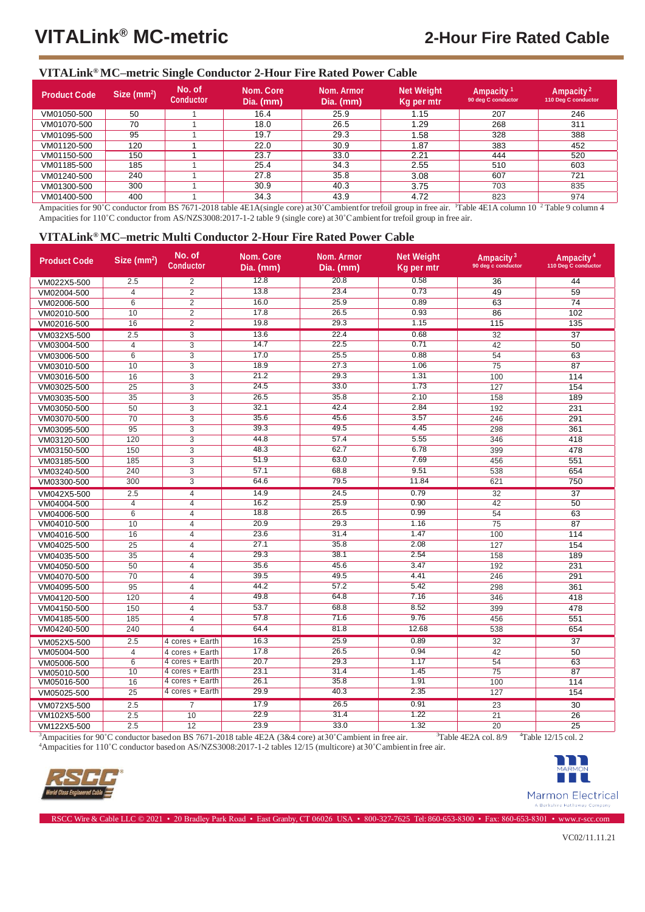### **VITALink® MC–metric Single Conductor 2-Hour Fire Rated Power Cable**

| <b>Product Code</b> | Size $(mm2)$ | No. of<br><b>Conductor</b> | Nom. Core<br>Dia. (mm) | Nom. Armor<br>Dia. (mm) | <b>Net Weight</b><br>Kg per mtr | Ampacity <sup>1</sup><br>90 deg C conductor | Ampacity <sup>2</sup><br>110 Deg C conductor |
|---------------------|--------------|----------------------------|------------------------|-------------------------|---------------------------------|---------------------------------------------|----------------------------------------------|
| VM01050-500         | 50           |                            | 16.4                   | 25.9                    | l.15                            | 207                                         | 246                                          |
| VM01070-500         | 70           |                            | 18.0                   | 26.5                    | 1.29                            | 268                                         | 311                                          |
| VM01095-500         | 95           |                            | 19.7                   | 29.3                    | .58                             | 328                                         | 388                                          |
| VM01120-500         | 120          |                            | 22.0                   | 30.9                    | .87                             | 383                                         | 452                                          |
| VM01150-500         | 150          |                            | 23.7                   | 33.0                    | 2.21                            | 444                                         | 520                                          |
| VM01185-500         | 185          |                            | 25.4                   | 34.3                    | 2.55                            | 510                                         | 603                                          |
| VM01240-500         | 240          |                            | 27.8                   | 35.8                    | 3.08                            | 607                                         | 721                                          |
| VM01300-500         | 300          |                            | 30.9                   | 40.3                    | 3.75                            | 703                                         | 835                                          |
| VM01400-500         | 400          |                            | 34.3                   | 43.9                    | 4.72                            | 823                                         | 974                                          |

Ampacities for 90°C conductor from BS 7671-2018 table 4E1A(single core) at 30°C ambient for trefoil group in free air. Table 4E1A column 10<sup>2</sup> Table 9 column 4 Ampacities for 110°C conductor from AS/NZS3008:2017-1-2 table 9 (single core) at 30°C ambient for trefoil group in free air.

### **VITALink® MC–metric Multi Conductor 2-Hour Fire Rated Power Cable**

| <b>Product Code</b> | Size $(mm2)$    | No. of<br><b>Conductor</b> | Nom. Core<br>Dia. (mm) | <b>Nom. Armor</b><br>Dia. (mm) | <b>Net Weight</b><br>Kq per mtr | Ampacity <sup>3</sup><br>90 deg c conductor | Ampacity <sup>4</sup><br>110 Deg C conductor |
|---------------------|-----------------|----------------------------|------------------------|--------------------------------|---------------------------------|---------------------------------------------|----------------------------------------------|
| VM022X5-500         | 2.5             | $\overline{2}$             | 12.8                   | 20.8                           | 0.58                            | 36                                          | 44                                           |
| VM02004-500         | $\overline{4}$  | $\overline{2}$             | 13.8                   | 23.4                           | 0.73                            | 49                                          | 59                                           |
| VM02006-500         | 6               | $\overline{2}$             | 16.0                   | 25.9                           | 0.89                            | 63                                          | 74                                           |
| VM02010-500         | 10              | $\overline{2}$             | 17.8                   | 26.5                           | 0.93                            | 86                                          | 102                                          |
| VM02016-500         | 16              | $\overline{2}$             | 19.8                   | 29.3                           | 1.15                            | 115                                         | 135                                          |
| VM032X5-500         | 2.5             | $\overline{3}$             | 13.6                   | 22.4                           | 0.68                            | 32                                          | $\overline{37}$                              |
| VM03004-500         | 4               | 3                          | 14.7                   | 22.5                           | 0.71                            | 42                                          | 50                                           |
| VM03006-500         | 6               | $\overline{3}$             | 17.0                   | 25.5                           | 0.88                            | 54                                          | 63                                           |
| VM03010-500         | 10              | 3                          | 18.9                   | 27.3                           | 1.06                            | $\overline{75}$                             | 87                                           |
| VM03016-500         | 16              | 3                          | 21.2                   | 29.3                           | 1.31                            | 100                                         | 114                                          |
| VM03025-500         | 25              | 3                          | 24.5                   | 33.0                           | 1.73                            | 127                                         | 154                                          |
| VM03035-500         | 35              | 3                          | 26.5                   | 35.8                           | 2.10                            | 158                                         | 189                                          |
| VM03050-500         | 50              | 3                          | 32.1                   | 42.4                           | 2.84                            | 192                                         | 231                                          |
| VM03070-500         | $\overline{70}$ | $\overline{3}$             | 35.6                   | 45.6                           | 3.57                            | 246                                         | 291                                          |
| VM03095-500         | 95              | 3                          | 39.3                   | 49.5                           | 4.45                            | 298                                         | 361                                          |
| VM03120-500         | 120             | $\overline{3}$             | 44.8                   | 57.4                           | 5.55                            | 346                                         | 418                                          |
| VM03150-500         | 150             | 3                          | 48.3                   | 62.7                           | 6.78                            | 399                                         | 478                                          |
| VM03185-500         | 185             | 3                          | 51.9                   | 63.0                           | 7.69                            | 456                                         | 551                                          |
| VM03240-500         | 240             | $\overline{3}$             | 57.1                   | 68.8                           | 9.51                            | 538                                         | 654                                          |
| VM03300-500         | 300             | $\overline{3}$             | 64.6                   | 79.5                           | 11.84                           | 621                                         | 750                                          |
| VM042X5-500         | 2.5             | $\overline{4}$             | 14.9                   | 24.5                           | 0.79                            | $\overline{32}$                             | $\overline{37}$                              |
| VM04004-500         | $\overline{4}$  | 4                          | 16.2                   | 25.9                           | 0.90                            | 42                                          | 50                                           |
| VM04006-500         | 6               | $\overline{4}$             | 18.8                   | 26.5                           | 0.99                            | 54                                          | 63                                           |
| VM04010-500         | 10              | $\overline{4}$             | 20.9                   | 29.3                           | 1.16                            | $\overline{75}$                             | 87                                           |
| VM04016-500         | 16              | 4                          | 23.6                   | 31.4                           | 1.47                            | 100                                         | 114                                          |
| VM04025-500         | 25              | 4                          | 27.1                   | 35.8                           | 2.08                            | 127                                         | 154                                          |
| VM04035-500         | 35              | 4                          | 29.3                   | 38.1                           | 2.54                            | 158                                         | 189                                          |
| VM04050-500         | 50              | 4                          | 35.6                   | 45.6                           | 3.47                            | 192                                         | 231                                          |
| VM04070-500         | 70              | 4                          | 39.5                   | 49.5                           | 4.41                            | 246                                         | 291                                          |
| VM04095-500         | 95              | $\overline{\mathbf{4}}$    | 44.2                   | 57.2                           | 5.42                            | 298                                         | 361                                          |
| VM04120-500         | 120             | 4                          | 49.8                   | 64.8                           | 7.16                            | 346                                         | 418                                          |
| VM04150-500         | 150             | $\overline{4}$             | 53.7                   | 68.8                           | 8.52                            | 399                                         | 478                                          |
| VM04185-500         | 185             | 4                          | 57.8                   | 71.6                           | 9.76                            | 456                                         | 551                                          |
| VM04240-500         | 240             | 4                          | 64.4                   | 81.8                           | 12.68                           | 538                                         | 654                                          |
| VM052X5-500         | 2.5             | 4 cores + Earth            | 16.3                   | 25.9                           | 0.89                            | $\overline{32}$                             | $\overline{37}$                              |
| VM05004-500         | $\overline{4}$  | 4 cores + Earth            | 17.8                   | 26.5                           | 0.94                            | 42                                          | 50                                           |
| VM05006-500         | 6               | 4 cores + Earth            | 20.7                   | 29.3                           | 1.17                            | 54                                          | 63                                           |
| VM05010-500         | 10              | 4 cores + Earth            | 23.1                   | 31.4                           | 1.45                            | $\overline{75}$                             | 87                                           |
| VM05016-500         | 16              | 4 cores + Earth            | 26.1                   | 35.8                           | 1.91                            | 100                                         | 114                                          |
| VM05025-500         | $\overline{25}$ | 4 cores + Earth            | 29.9                   | 40.3                           | 2.35                            | 127                                         | 154                                          |
| VM072X5-500         | 2.5             | $\overline{7}$             | 17.9                   | 26.5                           | 0.91                            | $\overline{23}$                             | 30                                           |
| VM102X5-500         | 2.5             | 10                         | 22.9                   | 31.4                           | 1.22                            | 21                                          | 26                                           |
| VM122X5-500         | 2.5             | 12                         | 23.9                   | 33.0                           | 1.32                            | 20                                          | 25                                           |

<sup>3</sup>Ampacities for 90°C conductor based on BS 7671-2018 table 4E2A (3&4 core) at 30°C ambient in free air. <sup>3</sup>Table 4E2A col. 8/9 <sup>4</sup>Table 12/15 col. 2

RSCC Wire & Cable LLC © 2021 • 20 Bradley Park Road • East Granby, CT 06026 USA • 800-327-7625 Tel: 860-653-8300 • Fax: 860-653-8301 • [www.r-scc.com](http://www.r-scc.com/)

<sup>4</sup>Ampacities for 110˚C conductor basedon AS/NZS3008:2017-1-2 tables 12/15 (multicore) at30˚Cambientin free air.



n **The Contract Marmon Electrical**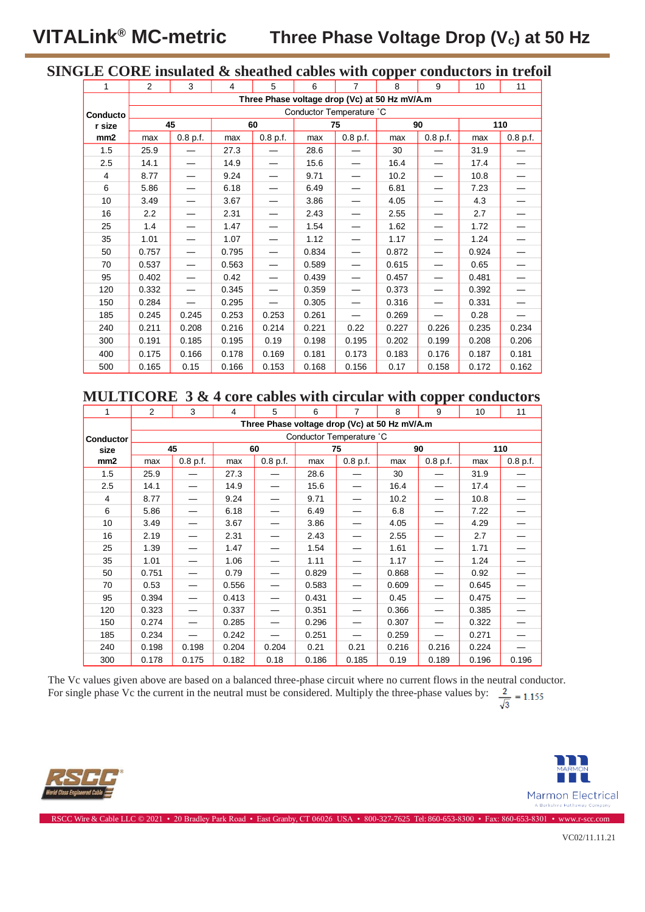# **SINGLE CORE insulated & sheathed cables with copper conductors in trefoil**

| 1               | $\overline{2}$                                | 3                        | 4     | 5        | 6     | $\overline{7}$ | 8     | 9        | 10    | 11         |
|-----------------|-----------------------------------------------|--------------------------|-------|----------|-------|----------------|-------|----------|-------|------------|
|                 | Three Phase voltage drop (Vc) at 50 Hz mV/A.m |                          |       |          |       |                |       |          |       |            |
| Conducto        | Conductor Temperature °C                      |                          |       |          |       |                |       |          |       |            |
| r size          | 45                                            |                          | 60    |          | 75    |                | 90    |          | 110   |            |
| mm <sub>2</sub> | max                                           | $0.8$ p.f.               | max   | 0.8 p.f. | max   | 0.8 p.f.       | max   | 0.8 p.f. | max   | $0.8$ p.f. |
| 1.5             | 25.9                                          |                          | 27.3  |          | 28.6  |                | 30    |          | 31.9  |            |
| 2.5             | 14.1                                          |                          | 14.9  |          | 15.6  |                | 16.4  |          | 17.4  |            |
| 4               | 8.77                                          |                          | 9.24  |          | 9.71  |                | 10.2  |          | 10.8  |            |
| 6               | 5.86                                          |                          | 6.18  |          | 6.49  |                | 6.81  |          | 7.23  |            |
| 10              | 3.49                                          |                          | 3.67  |          | 3.86  |                | 4.05  |          | 4.3   |            |
| 16              | 2.2                                           |                          | 2.31  |          | 2.43  |                | 2.55  |          | 2.7   |            |
| 25              | 1.4                                           |                          | 1.47  |          | 1.54  |                | 1.62  |          | 1.72  |            |
| 35              | 1.01                                          |                          | 1.07  |          | 1.12  |                | 1.17  |          | 1.24  |            |
| 50              | 0.757                                         |                          | 0.795 |          | 0.834 |                | 0.872 |          | 0.924 |            |
| 70              | 0.537                                         |                          | 0.563 |          | 0.589 |                | 0.615 |          | 0.65  |            |
| 95              | 0.402                                         |                          | 0.42  |          | 0.439 |                | 0.457 |          | 0.481 |            |
| 120             | 0.332                                         | $\overline{\phantom{0}}$ | 0.345 |          | 0.359 |                | 0.373 |          | 0.392 |            |
| 150             | 0.284                                         |                          | 0.295 |          | 0.305 |                | 0.316 |          | 0.331 |            |
| 185             | 0.245                                         | 0.245                    | 0.253 | 0.253    | 0.261 |                | 0.269 |          | 0.28  |            |
| 240             | 0.211                                         | 0.208                    | 0.216 | 0.214    | 0.221 | 0.22           | 0.227 | 0.226    | 0.235 | 0.234      |
| 300             | 0.191                                         | 0.185                    | 0.195 | 0.19     | 0.198 | 0.195          | 0.202 | 0.199    | 0.208 | 0.206      |
| 400             | 0.175                                         | 0.166                    | 0.178 | 0.169    | 0.181 | 0.173          | 0.183 | 0.176    | 0.187 | 0.181      |
| 500             | 0.165                                         | 0.15                     | 0.166 | 0.153    | 0.168 | 0.156          | 0.17  | 0.158    | 0.172 | 0.162      |

## **MULTICORE 3 & 4 core cables with circular with copper conductors**

| 1                | 2                                             | 3                        | 4     | 5                        | 6     | $\overline{7}$ | 8     | 9        | 10    | 11       |
|------------------|-----------------------------------------------|--------------------------|-------|--------------------------|-------|----------------|-------|----------|-------|----------|
|                  | Three Phase voltage drop (Vc) at 50 Hz mV/A.m |                          |       |                          |       |                |       |          |       |          |
| <b>Conductor</b> |                                               | Conductor Temperature °C |       |                          |       |                |       |          |       |          |
| size             | 45                                            |                          | 60    |                          | 75    |                | 90    |          | 110   |          |
| mm <sub>2</sub>  | max                                           | $0.8$ p.f.               | max   | 0.8 p.f.                 | max   | $0.8$ p.f.     | max   | 0.8 p.f. | max   | 0.8 p.f. |
| 1.5              | 25.9                                          |                          | 27.3  |                          | 28.6  |                | 30    |          | 31.9  |          |
| 2.5              | 14.1                                          |                          | 14.9  |                          | 15.6  |                | 16.4  |          | 17.4  |          |
| $\overline{4}$   | 8.77                                          |                          | 9.24  |                          | 9.71  |                | 10.2  |          | 10.8  |          |
| 6                | 5.86                                          |                          | 6.18  |                          | 6.49  |                | 6.8   |          | 7.22  |          |
| 10               | 3.49                                          |                          | 3.67  |                          | 3.86  |                | 4.05  |          | 4.29  |          |
| 16               | 2.19                                          |                          | 2.31  |                          | 2.43  |                | 2.55  |          | 2.7   |          |
| 25               | 1.39                                          |                          | 1.47  |                          | 1.54  |                | 1.61  |          | 1.71  |          |
| 35               | 1.01                                          |                          | 1.06  |                          | 1.11  |                | 1.17  |          | 1.24  |          |
| 50               | 0.751                                         |                          | 0.79  |                          | 0.829 |                | 0.868 |          | 0.92  |          |
| 70               | 0.53                                          |                          | 0.556 |                          | 0.583 |                | 0.609 |          | 0.645 |          |
| 95               | 0.394                                         |                          | 0.413 |                          | 0.431 |                | 0.45  |          | 0.475 |          |
| 120              | 0.323                                         |                          | 0.337 | $\overline{\phantom{0}}$ | 0.351 |                | 0.366 |          | 0.385 |          |
| 150              | 0.274                                         |                          | 0.285 |                          | 0.296 |                | 0.307 |          | 0.322 |          |
| 185              | 0.234                                         |                          | 0.242 |                          | 0.251 |                | 0.259 |          | 0.271 |          |
| 240              | 0.198                                         | 0.198                    | 0.204 | 0.204                    | 0.21  | 0.21           | 0.216 | 0.216    | 0.224 |          |
| 300              | 0.178                                         | 0.175                    | 0.182 | 0.18                     | 0.186 | 0.185          | 0.19  | 0.189    | 0.196 | 0.196    |

The Vc values given above are based on a balanced three-phase circuit where no current flows in the neutral conductor. For single phase Vc the current in the neutral must be considered. Multiply the three-phase values by:  $\frac{2}{\sqrt{3}}$  = 1.155